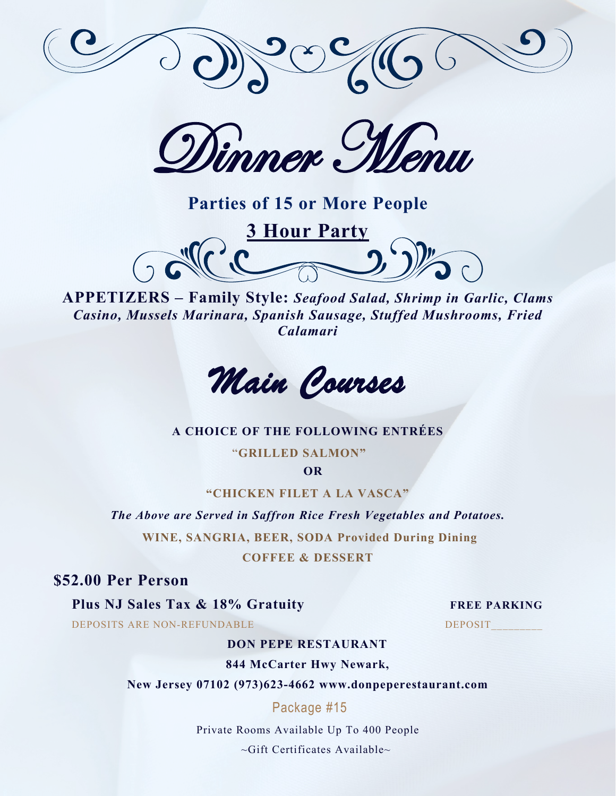

Dinner Menu

**Parties of 15 or More People** 





#### **A CHOICE OF THE FOLLOWING ENTRÉES**

"**GRILLED SALMON"**

**OR**

**"CHICKEN FILET A LA VASCA"**

*The Above are Served in Saffron Rice Fresh Vegetables and Potatoes.*

**WINE, SANGRIA, BEER, SODA Provided During Dining**

**COFFEE & DESSERT** 

**\$52.00 Per Person** 

**Plus NJ Sales Tax & 18% Gratuity FREE PARKING** 

DEPOSITS ARE NON-REFUNDABLE DEPOSIT

#### **DON PEPE RESTAURANT**

**844 McCarter Hwy Newark,**

**New Jersey 07102 (973)623-4662 www.donpeperestaurant.com**

Package #15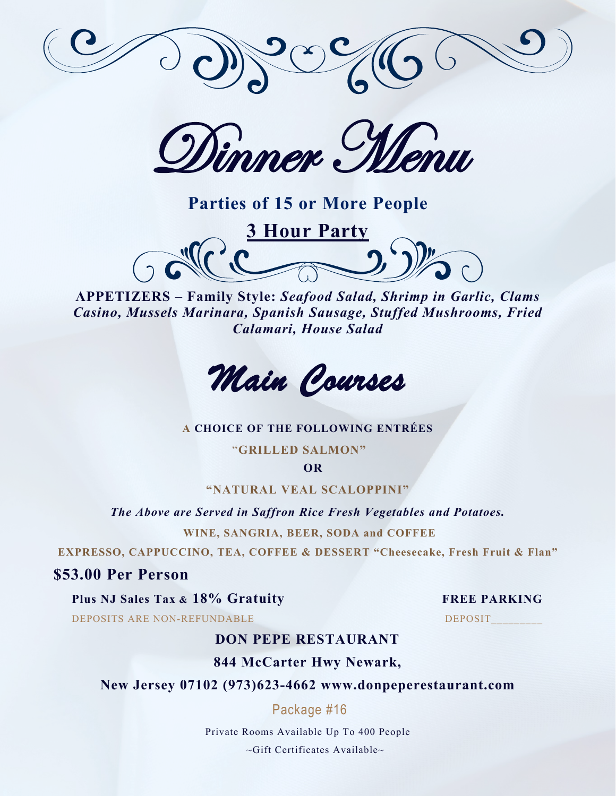

Dinner Menu



**APPETIZERS – Family Style:** *Seafood Salad, Shrimp in Garlic, Clams Casino, Mussels Marinara, Spanish Sausage, Stuffed Mushrooms, Fried Calamari, House Salad*



#### **A CHOICE OF THE FOLLOWING ENTRÉES**

"**GRILLED SALMON"**

**OR**

**"NATURAL VEAL SCALOPPINI"**

*The Above are Served in Saffron Rice Fresh Vegetables and Potatoes.*

**WINE, SANGRIA, BEER, SODA and COFFEE** 

**EXPRESSO, CAPPUCCINO, TEA, COFFEE & DESSERT "Cheesecake, Fresh Fruit & Flan"**

**\$53.00 Per Person** 

**Plus NJ Sales Tax & 18% Gratuity FREE PARKING**

DEPOSITS ARE NON-REFUNDABLE DEPOSIT

## **DON PEPE RESTAURANT**

**844 McCarter Hwy Newark,**

**New Jersey 07102 (973)623-4662 www.donpeperestaurant.com**

Package #16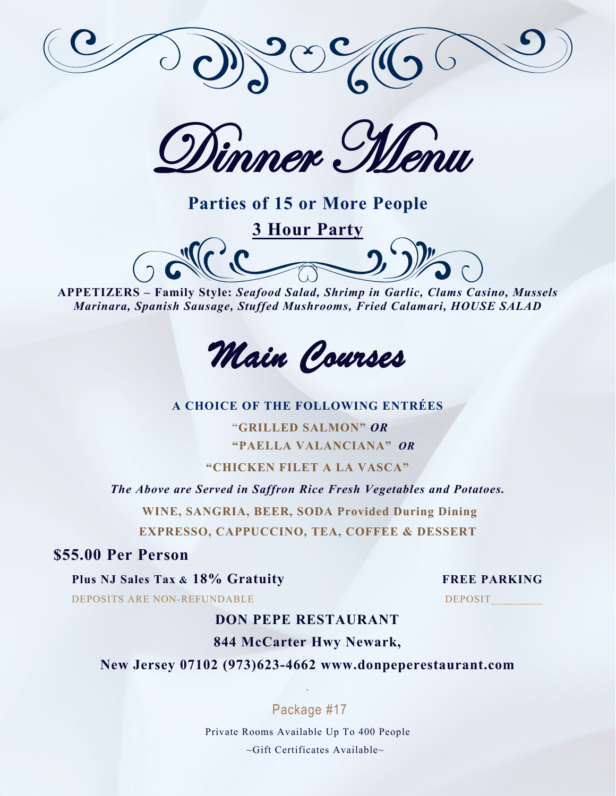

Dinner Menu

# **Parties of 15 or More People 3 Hour Party**

**APPETIZERS – Family Style:** *Seafood Salad, Shrimp in Garlic, Clams Casino, Mussels Marinara, Spanish Sausage, Stuffed Mushrooms, Fried Calamari, HOUSE SALAD*



**A CHOICE OF THE FOLLOWING ENTRÉES**

"**GRILLED SALMON"** *OR* **"PAELLA VALANCIANA"** *OR*

**"CHICKEN FILET A LA VASCA"**

*The Above are Served in Saffron Rice Fresh Vegetables and Potatoes.* **WINE, SANGRIA, BEER, SODA Provided During Dining**

**EXPRESSO, CAPPUCCINO, TEA, COFFEE & DESSERT** 

# **\$55.00 Per Person**

**Plus NJ Sales Tax & 18% Gratuity FREE PARKING**

DEPOSITS ARE NON-REFUNDABLE DEPOSIT

# **DON PEPE RESTAURANT**

# **844 McCarter Hwy Newark,**

**New Jersey 07102 (973)623-4662 www.donpeperestaurant.com**

# Package #17

.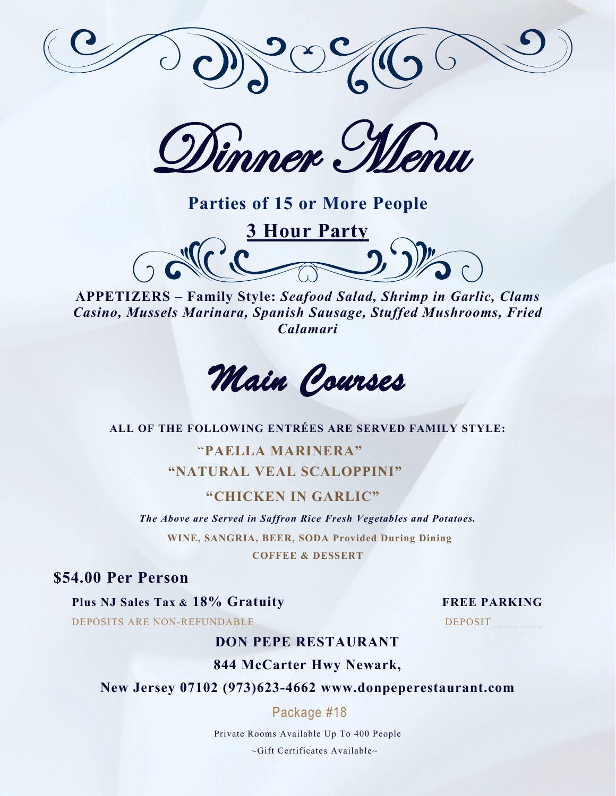

Dinner Menu

**Parties of 15 or More People** 





#### **ALL OF THE FOLLOWING ENTRÉES ARE SERVED FAMILY STYLE:**

# "**PAELLA MARINERA" "NATURAL VEAL SCALOPPINI"**

### **"CHICKEN IN GARLIC"**

*The Above are Served in Saffron Rice Fresh Vegetables and Potatoes.* **WINE, SANGRIA, BEER, SODA Provided During Dining**

**COFFEE & DESSERT** 

# **\$54.00 Per Person**

**Plus NJ Sales Tax & 18% Gratuity FREE PARKING**

DEPOSITS ARE NON-REFUNDABLE DEPOSIT

#### **DON PEPE RESTAURANT**

### **844 McCarter Hwy Newark,**

**New Jersey 07102 (973)623-4662 www.donpeperestaurant.com**

Package #18

Private Rooms Available Up To 400 People

~Gift Certificates Available~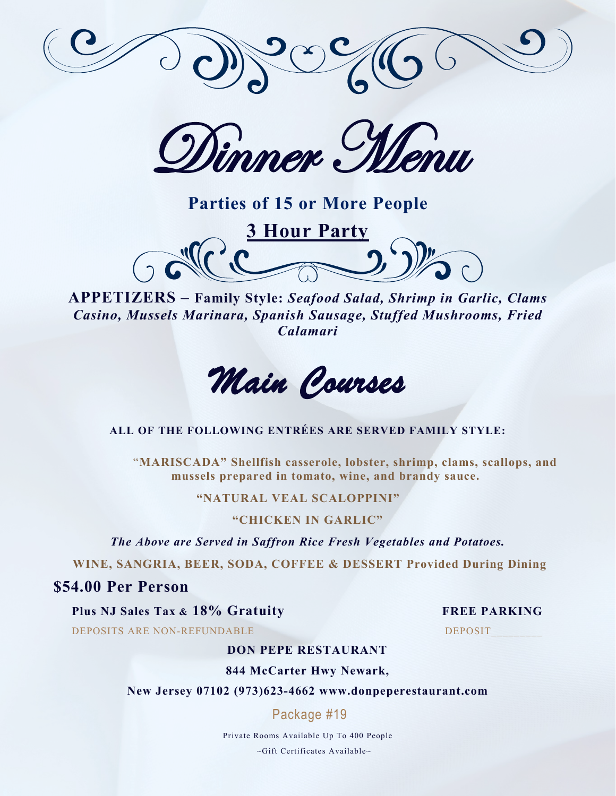

Dimmer Menu

**Parties of 15 or More People** 



# *Main Courses*

#### **ALL OF THE FOLLOWING ENTRÉES ARE SERVED FAMILY STYLE:**

"**MARISCADA" Shellfish casserole, lobster, shrimp, clams, scallops, and mussels prepared in tomato, wine, and brandy sauce.** 

#### **"NATURAL VEAL SCALOPPINI"**

#### **"CHICKEN IN GARLIC"**

*The Above are Served in Saffron Rice Fresh Vegetables and Potatoes.*

**WINE, SANGRIA, BEER, SODA, COFFEE & DESSERT Provided During Dining**

### **\$54.00 Per Person**

#### **Plus NJ Sales Tax & 18% Gratuity FREE PARKING**

DEPOSITS ARE NON-REFUNDABLE DEPOSIT

#### **DON PEPE RESTAURANT**

**844 McCarter Hwy Newark,**

**New Jersey 07102 (973)623-4662 www.donpeperestaurant.com**

Package #19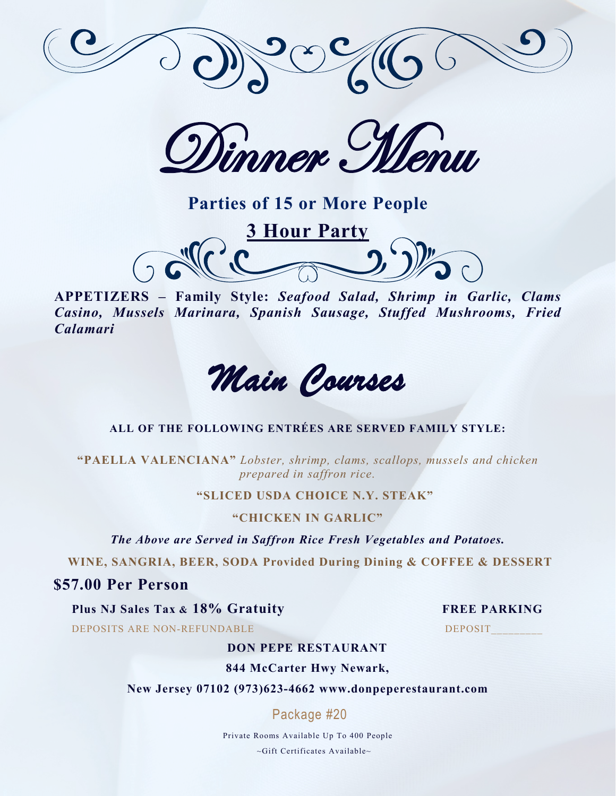

Dinner Menu

**Parties of 15 or More People** 



*Main Courses* 

#### **ALL OF THE FOLLOWING ENTRÉES ARE SERVED FAMILY STYLE:**

**"PAELLA VALENCIANA"** *Lobster, shrimp, clams, scallops, mussels and chicken prepared in saffron rice.*

#### **"SLICED USDA CHOICE N.Y. STEAK"**

#### **"CHICKEN IN GARLIC"**

*The Above are Served in Saffron Rice Fresh Vegetables and Potatoes.*

**WINE, SANGRIA, BEER, SODA Provided During Dining & COFFEE & DESSERT** 

# **\$57.00 Per Person**

#### **Plus NJ Sales Tax & 18% Gratuity FREE PARKING**

DEPOSITS ARE NON-REFUNDABLE DEPOSIT

#### **DON PEPE RESTAURANT**

**844 McCarter Hwy Newark,**

**New Jersey 07102 (973)623-4662 www.donpeperestaurant.com**

Package #20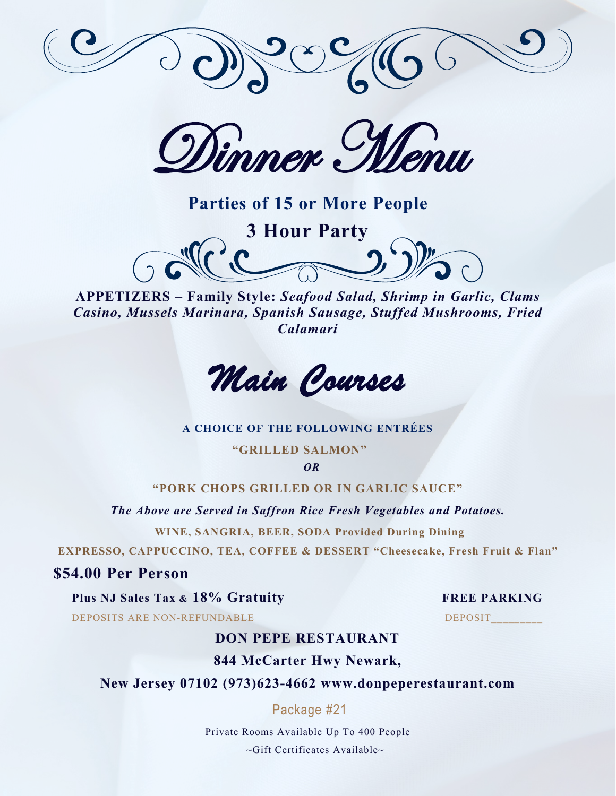

Dinner Menu

**Parties of 15 or More People** 





#### **A CHOICE OF THE FOLLOWING ENTRÉES**

**"GRILLED SALMON"**

*OR*

**"PORK CHOPS GRILLED OR IN GARLIC SAUCE"**

*The Above are Served in Saffron Rice Fresh Vegetables and Potatoes.*

**WINE, SANGRIA, BEER, SODA Provided During Dining**

**EXPRESSO, CAPPUCCINO, TEA, COFFEE & DESSERT "Cheesecake, Fresh Fruit & Flan"**

# **\$54.00 Per Person**

**Plus NJ Sales Tax & 18% Gratuity FREE PARKING**

DEPOSITS ARE NON-REFUNDABLE DEPOSIT

# **DON PEPE RESTAURANT**

**844 McCarter Hwy Newark,**

**New Jersey 07102 (973)623-4662 www.donpeperestaurant.com**

Package #21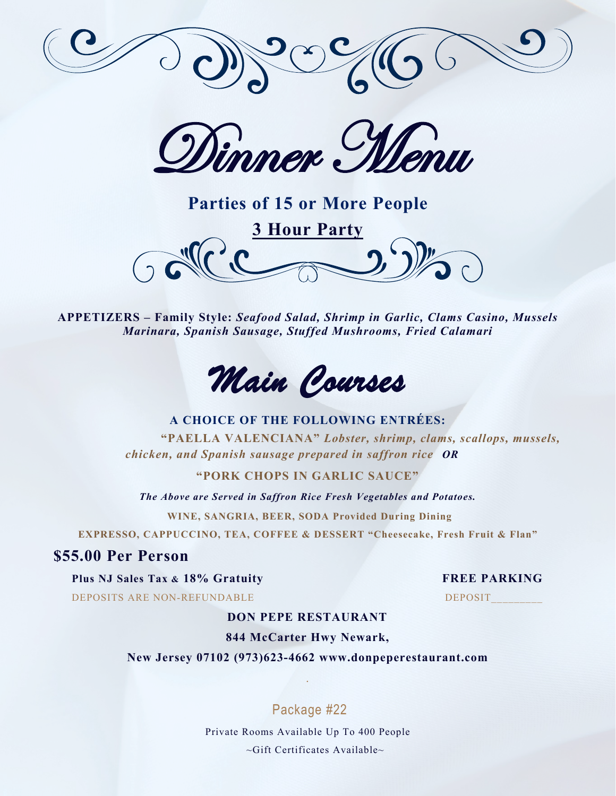

Dinner Menu

**Parties of 15 or More People 3 Hour Party** 



#### **A CHOICE OF THE FOLLOWING ENTRÉES:**

**"PAELLA VALENCIANA"** *Lobster, shrimp, clams, scallops, mussels, chicken, and Spanish sausage prepared in saffron rice OR*

#### **"PORK CHOPS IN GARLIC SAUCE"**

*The Above are Served in Saffron Rice Fresh Vegetables and Potatoes.*

**WINE, SANGRIA, BEER, SODA Provided During Dining**

**EXPRESSO, CAPPUCCINO, TEA, COFFEE & DESSERT "Cheesecake, Fresh Fruit & Flan"**

### **\$55.00 Per Person**

**Plus NJ Sales Tax & 18% Gratuity FREE PARKING**

DEPOSITS ARE NON-REFUNDABLE DEPOSIT

#### **DON PEPE RESTAURANT**

#### **844 McCarter Hwy Newark,**

**New Jersey 07102 (973)623-4662 www.donpeperestaurant.com**

.

Package #22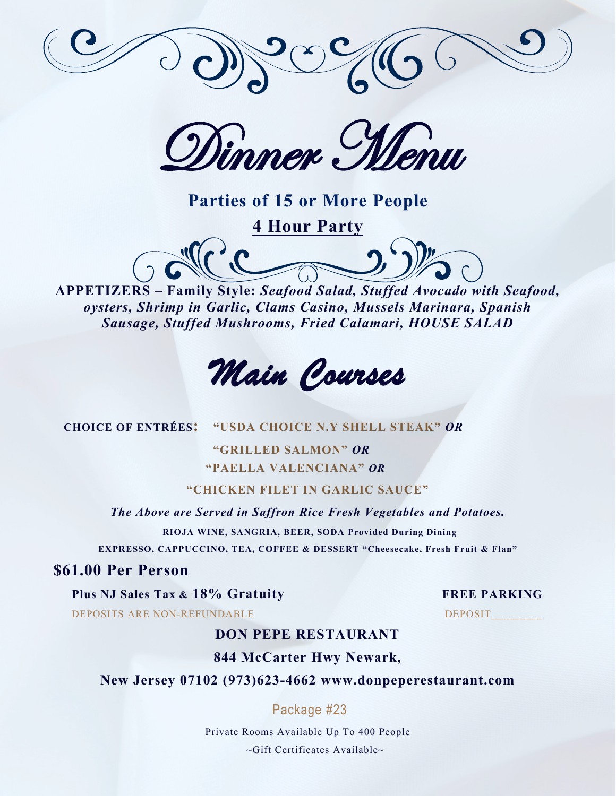

Dimmer Menu

**4 Hour Party** 



**APPETIZERS – Family Style:** *Seafood Salad, Stuffed Avocado with Seafood, oysters, Shrimp in Garlic, Clams Casino, Mussels Marinara, Spanish Sausage, Stuffed Mushrooms, Fried Calamari, HOUSE SALAD*



 **CHOICE OF ENTRÉES: "USDA CHOICE N.Y SHELL STEAK"** *OR*

 **"GRILLED SALMON"** *OR* **"PAELLA VALENCIANA"** *OR*

**"CHICKEN FILET IN GARLIC SAUCE"**

*The Above are Served in Saffron Rice Fresh Vegetables and Potatoes.*

**RIOJA WINE, SANGRIA, BEER, SODA Provided During Dining EXPRESSO, CAPPUCCINO, TEA, COFFEE & DESSERT "Cheesecake, Fresh Fruit & Flan"**

# **\$61.00 Per Person**

**Plus NJ Sales Tax & 18% Gratuity FREE PARKING**

DEPOSITS ARE NON-REFUNDABLE DEPOSIT

# **DON PEPE RESTAURANT**

**844 McCarter Hwy Newark,**

**New Jersey 07102 (973)623-4662 www.donpeperestaurant.com**

# Package #23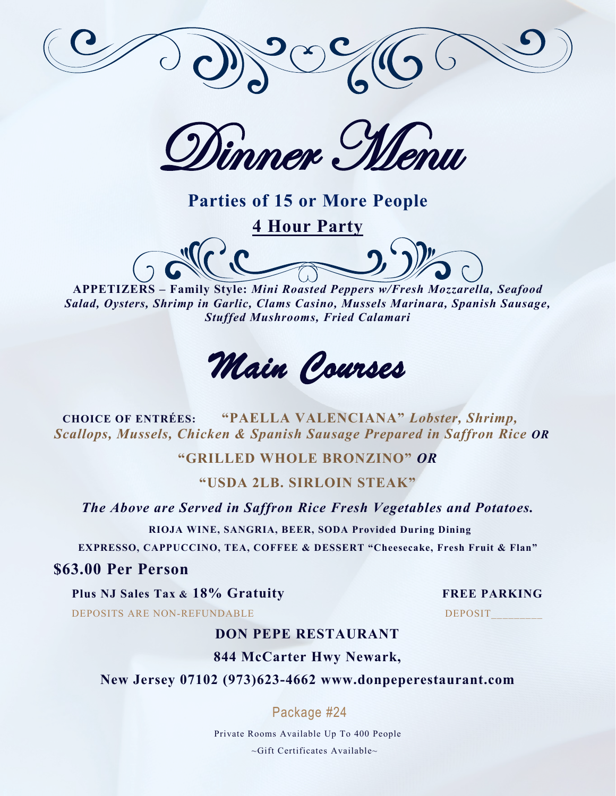

Dimmer Menu

**4 Hour Party** 

**APPETIZERS – Family Style:** *Mini Roasted Peppers w/Fresh Mozzarella, Seafood Salad, Oysters, Shrimp in Garlic, Clams Casino, Mussels Marinara, Spanish Sausage, Stuffed Mushrooms, Fried Calamari*

*Main Courses* 

 **CHOICE OF ENTRÉES: "PAELLA VALENCIANA"** *Lobster, Shrimp, Scallops, Mussels, Chicken & Spanish Sausage Prepared in Saffron Rice OR*

**"GRILLED WHOLE BRONZINO"** *OR*

# **"USDA 2LB. SIRLOIN STEAK"**

*The Above are Served in Saffron Rice Fresh Vegetables and Potatoes.*

**RIOJA WINE, SANGRIA, BEER, SODA Provided During Dining**

**EXPRESSO, CAPPUCCINO, TEA, COFFEE & DESSERT "Cheesecake, Fresh Fruit & Flan"**

# **\$63.00 Per Person**

**Plus NJ Sales Tax & 18% Gratuity FREE PARKING**

DEPOSITS ARE NON-REFUNDABLE DEPOSIT

# **DON PEPE RESTAURANT**

# **844 McCarter Hwy Newark,**

**New Jersey 07102 (973)623-4662 www.donpeperestaurant.com**

# Package #24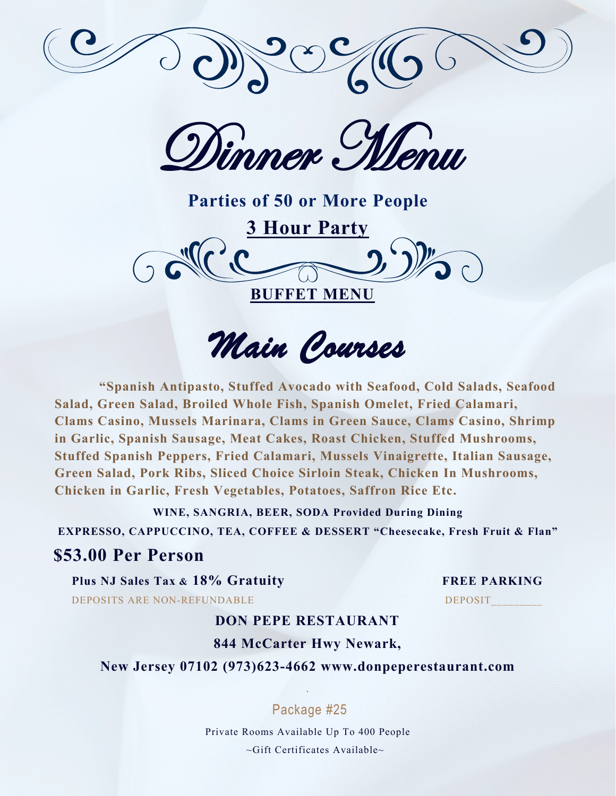

Dinner Menu

**Parties of 50 or More People 3 Hour Party BUFFET MENU** 

*Main Courses* 

**"Spanish Antipasto, Stuffed Avocado with Seafood, Cold Salads, Seafood Salad, Green Salad, Broiled Whole Fish, Spanish Omelet, Fried Calamari, Clams Casino, Mussels Marinara, Clams in Green Sauce, Clams Casino, Shrimp in Garlic, Spanish Sausage, Meat Cakes, Roast Chicken, Stuffed Mushrooms, Stuffed Spanish Peppers, Fried Calamari, Mussels Vinaigrette, Italian Sausage, Green Salad, Pork Ribs, Sliced Choice Sirloin Steak, Chicken In Mushrooms, Chicken in Garlic, Fresh Vegetables, Potatoes, Saffron Rice Etc.** 

**WINE, SANGRIA, BEER, SODA Provided During Dining EXPRESSO, CAPPUCCINO, TEA, COFFEE & DESSERT "Cheesecake, Fresh Fruit & Flan"**

# **\$53.00 Per Person**

**Plus NJ Sales Tax & 18% Gratuity FREE PARKING**

DEPOSITS ARE NON-REFUNDABLE DEPOSIT

# **DON PEPE RESTAURANT**

# **844 McCarter Hwy Newark,**

**New Jersey 07102 (973)623-4662 www.donpeperestaurant.com**

# Package #25

.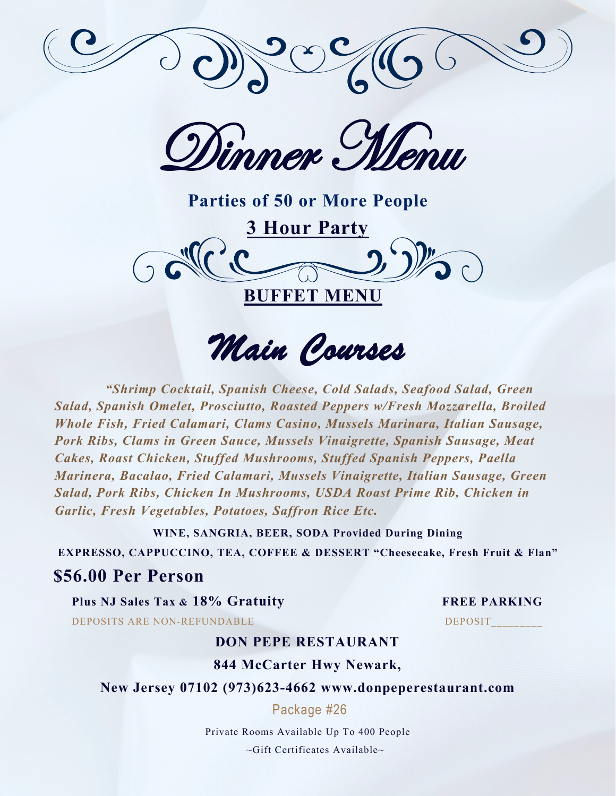

Dinner Menu

**Parties of 50 or More People 3 Hour Party BUFFET MENU** 

*Main Courses* 

*"Shrimp Cocktail, Spanish Cheese, Cold Salads, Seafood Salad, Green Salad, Spanish Omelet, Prosciutto, Roasted Peppers w/Fresh Mozzarella, Broiled Whole Fish, Fried Calamari, Clams Casino, Mussels Marinara, Italian Sausage, Pork Ribs, Clams in Green Sauce, Mussels Vinaigrette, Spanish Sausage, Meat Cakes, Roast Chicken, Stuffed Mushrooms, Stuffed Spanish Peppers, Paella Marinera, Bacalao, Fried Calamari, Mussels Vinaigrette, Italian Sausage, Green Salad, Pork Ribs, Chicken In Mushrooms, USDA Roast Prime Rib, Chicken in Garlic, Fresh Vegetables, Potatoes, Saffron Rice Etc.* 

**WINE, SANGRIA, BEER, SODA Provided During Dining**

**EXPRESSO, CAPPUCCINO, TEA, COFFEE & DESSERT "Cheesecake, Fresh Fruit & Flan"**

# **\$56.00 Per Person**

**Plus NJ Sales Tax & 18% Gratuity FREE PARKING** DEPOSITS ARE NON-REFUNDABLE DEPOSIT

### **DON PEPE RESTAURANT**

## **844 McCarter Hwy Newark,**

# **New Jersey 07102 (973)623-4662 www.donpeperestaurant.com**

Package #26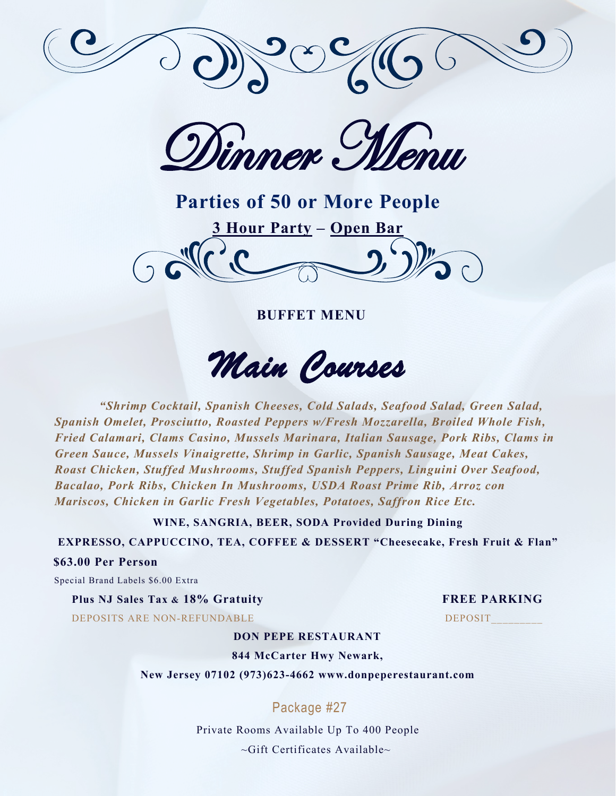

Dinner Menu

**Parties of 50 or More People 3 Hour Party – Open Bar**

 **BUFFET MENU** 

*Main Courses* 

*"Shrimp Cocktail, Spanish Cheeses, Cold Salads, Seafood Salad, Green Salad, Spanish Omelet, Prosciutto, Roasted Peppers w/Fresh Mozzarella, Broiled Whole Fish, Fried Calamari, Clams Casino, Mussels Marinara, Italian Sausage, Pork Ribs, Clams in Green Sauce, Mussels Vinaigrette, Shrimp in Garlic, Spanish Sausage, Meat Cakes, Roast Chicken, Stuffed Mushrooms, Stuffed Spanish Peppers, Linguini Over Seafood, Bacalao, Pork Ribs, Chicken In Mushrooms, USDA Roast Prime Rib, Arroz con Mariscos, Chicken in Garlic Fresh Vegetables, Potatoes, Saffron Rice Etc.* 

**WINE, SANGRIA, BEER, SODA Provided During Dining**

**EXPRESSO, CAPPUCCINO, TEA, COFFEE & DESSERT "Cheesecake, Fresh Fruit & Flan"**

#### **\$63.00 Per Person**

Special Brand Labels \$6.00 Extra

**Plus NJ Sales Tax & 18% Gratuity FREE PARKING** DEPOSITS ARE NON-REFUNDABLE DEPOSIT

#### **DON PEPE RESTAURANT**

**844 McCarter Hwy Newark,**

**New Jersey 07102 (973)623-4662 www.donpeperestaurant.com**

# Package #27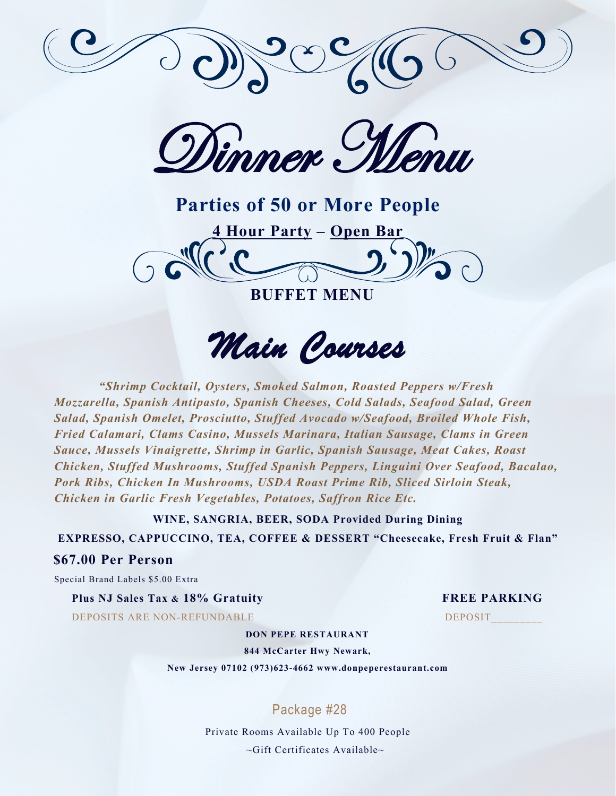

Dimmer Menu

**Parties of 50 or More People 4 Hour Party – Open Bar BUFFET MENU** 

*Main Courses* 

*"Shrimp Cocktail, Oysters, Smoked Salmon, Roasted Peppers w/Fresh Mozzarella, Spanish Antipasto, Spanish Cheeses, Cold Salads, Seafood Salad, Green Salad, Spanish Omelet, Prosciutto, Stuffed Avocado w/Seafood, Broiled Whole Fish, Fried Calamari, Clams Casino, Mussels Marinara, Italian Sausage, Clams in Green Sauce, Mussels Vinaigrette, Shrimp in Garlic, Spanish Sausage, Meat Cakes, Roast Chicken, Stuffed Mushrooms, Stuffed Spanish Peppers, Linguini Over Seafood, Bacalao, Pork Ribs, Chicken In Mushrooms, USDA Roast Prime Rib, Sliced Sirloin Steak, Chicken in Garlic Fresh Vegetables, Potatoes, Saffron Rice Etc.* 

**WINE, SANGRIA, BEER, SODA Provided During Dining**

**EXPRESSO, CAPPUCCINO, TEA, COFFEE & DESSERT "Cheesecake, Fresh Fruit & Flan"**

#### **\$67.00 Per Person**

Special Brand Labels \$5.00 Extra

**Plus NJ Sales Tax & 18% Gratuity FREE PARKING** DEPOSITS ARE NON-REFUNDABLE DEPOSIT

#### **DON PEPE RESTAURANT**

**844 McCarter Hwy Newark,**

**New Jersey 07102 (973)623-4662 www.donpeperestaurant.com**

# Package #28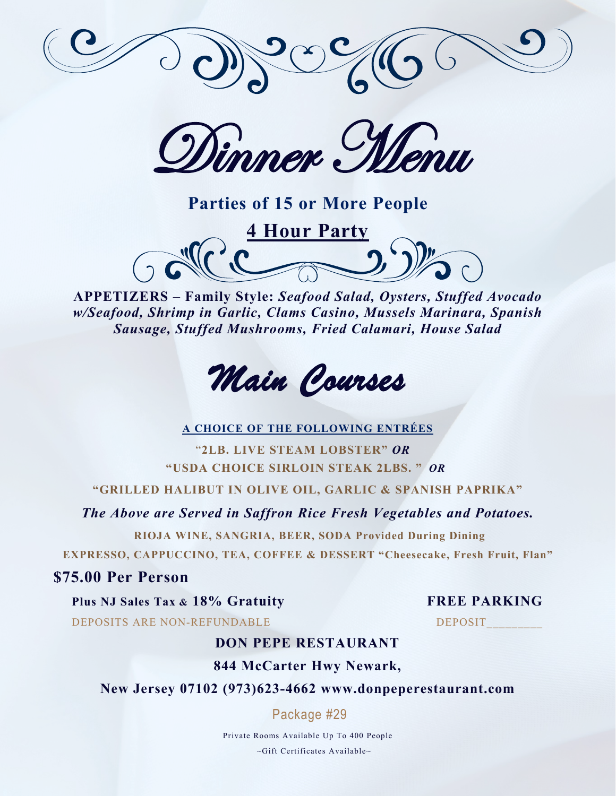

Dimmer Menu

**Parties of 15 or More People** 



**APPETIZERS – Family Style:** *Seafood Salad, Oysters, Stuffed Avocado w/Seafood, Shrimp in Garlic, Clams Casino, Mussels Marinara, Spanish Sausage, Stuffed Mushrooms, Fried Calamari, House Salad*



#### **A CHOICE OF THE FOLLOWING ENTRÉES**

 "**2LB. LIVE STEAM LOBSTER"** *OR*  **"USDA CHOICE SIRLOIN STEAK 2LBS. "** *OR*

**"GRILLED HALIBUT IN OLIVE OIL, GARLIC & SPANISH PAPRIKA"**

*The Above are Served in Saffron Rice Fresh Vegetables and Potatoes.*

**RIOJA WINE, SANGRIA, BEER, SODA Provided During Dining EXPRESSO, CAPPUCCINO, TEA, COFFEE & DESSERT "Cheesecake, Fresh Fruit, Flan"**

# **\$75.00 Per Person**

**Plus NJ Sales Tax & 18% Gratuity FREE PARKING** DEPOSITS ARE NON-REFUNDABLE DEPOSIT

# **DON PEPE RESTAURANT**

**844 McCarter Hwy Newark,**

**New Jersey 07102 (973)623-4662 www.donpeperestaurant.com**

Package #29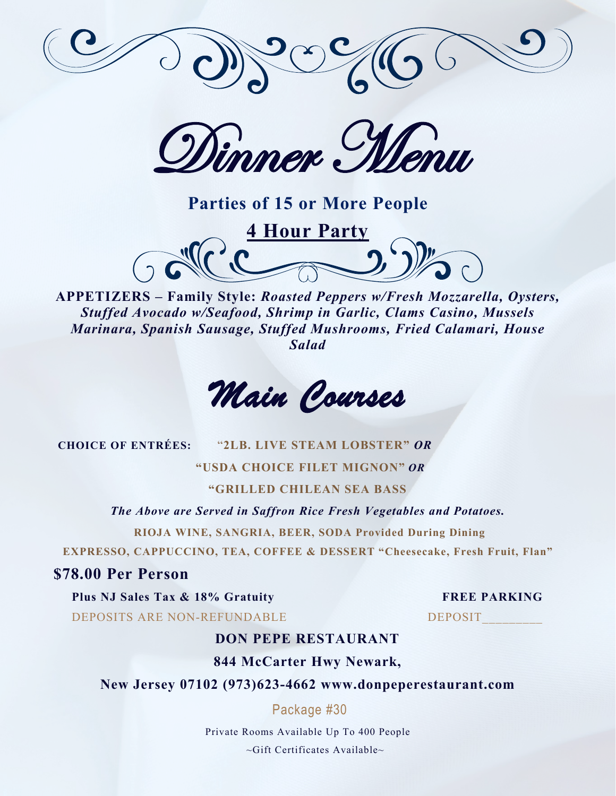

Dinner Menu



**APPETIZERS – Family Style:** *Roasted Peppers w/Fresh Mozzarella, Oysters, Stuffed Avocado w/Seafood, Shrimp in Garlic, Clams Casino, Mussels Marinara, Spanish Sausage, Stuffed Mushrooms, Fried Calamari, House Salad*

*Main Courses* 

**CHOICE OF ENTRÉES:** "**2LB. LIVE STEAM LOBSTER"** *OR*

 **"USDA CHOICE FILET MIGNON"** *OR*

**"GRILLED CHILEAN SEA BASS**

*The Above are Served in Saffron Rice Fresh Vegetables and Potatoes.* **RIOJA WINE, SANGRIA, BEER, SODA Provided During Dining**

**EXPRESSO, CAPPUCCINO, TEA, COFFEE & DESSERT "Cheesecake, Fresh Fruit, Flan"**

# **\$78.00 Per Person**

**Plus NJ Sales Tax & 18% Gratuity FREE PARKING**

DEPOSITS ARE NON-REFUNDABLE DEPOSIT

# **DON PEPE RESTAURANT**

**844 McCarter Hwy Newark,**

**New Jersey 07102 (973)623-4662 www.donpeperestaurant.com**

Package #30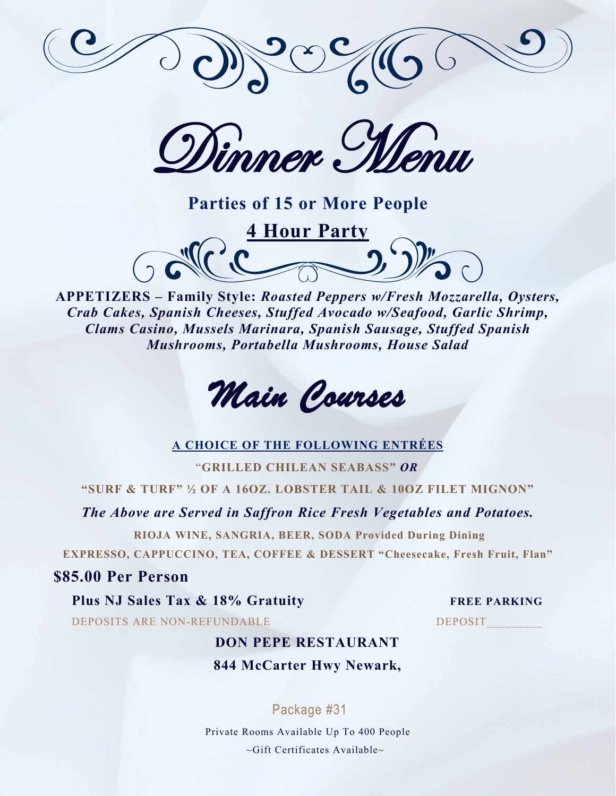

Dinner Menu



**APPETIZERS – Family Style:** *Roasted Peppers w/Fresh Mozzarella, Oysters, Crab Cakes, Spanish Cheeses, Stuffed Avocado w/Seafood, Garlic Shrimp, Clams Casino, Mussels Marinara, Spanish Sausage, Stuffed Spanish Mushrooms, Portabella Mushrooms, House Salad*



### **A CHOICE OF THE FOLLOWING ENTRÉES**

"**GRILLED CHILEAN SEABASS"** *OR*

**"SURF & TURF" ½ OF A 16OZ. LOBSTER TAIL & 10OZ FILET MIGNON"**

*The Above are Served in Saffron Rice Fresh Vegetables and Potatoes.*

**RIOJA WINE, SANGRIA, BEER, SODA Provided During Dining EXPRESSO, CAPPUCCINO, TEA, COFFEE & DESSERT "Cheesecake, Fresh Fruit, Flan"**

## **\$85.00 Per Person**

**Plus NJ Sales Tax & 18% Gratuity FREE PARKING** DEPOSITS ARE NON-REFUNDABLE DEPOSIT

# **DON PEPE RESTAURANT 844 McCarter Hwy Newark,**

# Package #31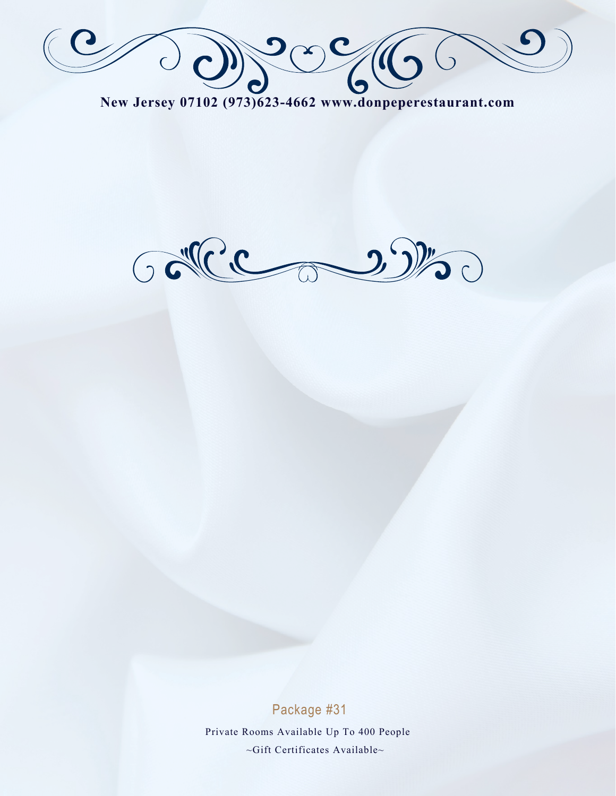Declo

**New Jersey 07102 (973)623-4662 www.donpeperestaurant.com**



Package #31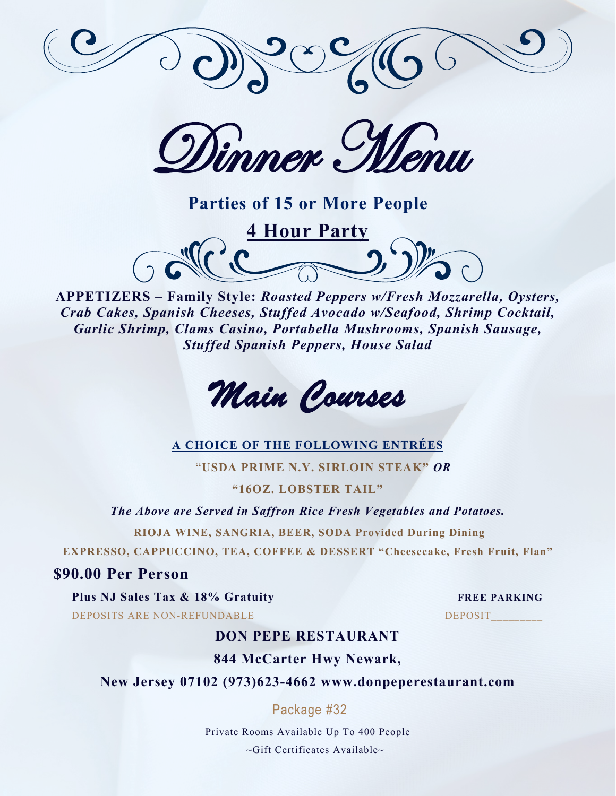

Dinner Menu



**APPETIZERS – Family Style:** *Roasted Peppers w/Fresh Mozzarella, Oysters, Crab Cakes, Spanish Cheeses, Stuffed Avocado w/Seafood, Shrimp Cocktail, Garlic Shrimp, Clams Casino, Portabella Mushrooms, Spanish Sausage, Stuffed Spanish Peppers, House Salad*



# **A CHOICE OF THE FOLLOWING ENTRÉES**

"**USDA PRIME N.Y. SIRLOIN STEAK"** *OR*

**"16OZ. LOBSTER TAIL"**

*The Above are Served in Saffron Rice Fresh Vegetables and Potatoes.*

**RIOJA WINE, SANGRIA, BEER, SODA Provided During Dining**

**EXPRESSO, CAPPUCCINO, TEA, COFFEE & DESSERT "Cheesecake, Fresh Fruit, Flan"**

### **\$90.00 Per Person**

**Plus NJ Sales Tax & 18% Gratuity FREE PARKING**

DEPOSITS ARE NON-REFUNDABLE DEPOSIT

# **DON PEPE RESTAURANT**

**844 McCarter Hwy Newark,**

**New Jersey 07102 (973)623-4662 www.donpeperestaurant.com**

Package #32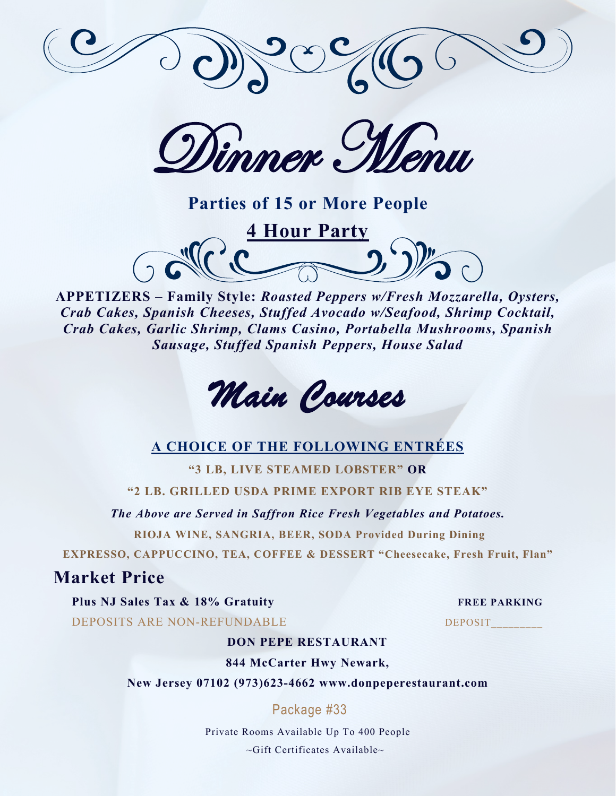

Dinner Menu

**Parties of 15 or More People 4 Hour Party** 



*Crab Cakes, Spanish Cheeses, Stuffed Avocado w/Seafood, Shrimp Cocktail, Crab Cakes, Garlic Shrimp, Clams Casino, Portabella Mushrooms, Spanish Sausage, Stuffed Spanish Peppers, House Salad*



# **A CHOICE OF THE FOLLOWING ENTRÉES**

**"3 LB, LIVE STEAMED LOBSTER" OR**

**"2 LB. GRILLED USDA PRIME EXPORT RIB EYE STEAK"**

*The Above are Served in Saffron Rice Fresh Vegetables and Potatoes.*

**RIOJA WINE, SANGRIA, BEER, SODA Provided During Dining**

**EXPRESSO, CAPPUCCINO, TEA, COFFEE & DESSERT "Cheesecake, Fresh Fruit, Flan"**

# **Market Price**

**Plus NJ Sales Tax & 18% Gratuity FREE PARKING** DEPOSITS ARE NON-REFUNDABLE DEPOSIT

#### **DON PEPE RESTAURANT**

**844 McCarter Hwy Newark,**

**New Jersey 07102 (973)623-4662 www.donpeperestaurant.com**

Package #33